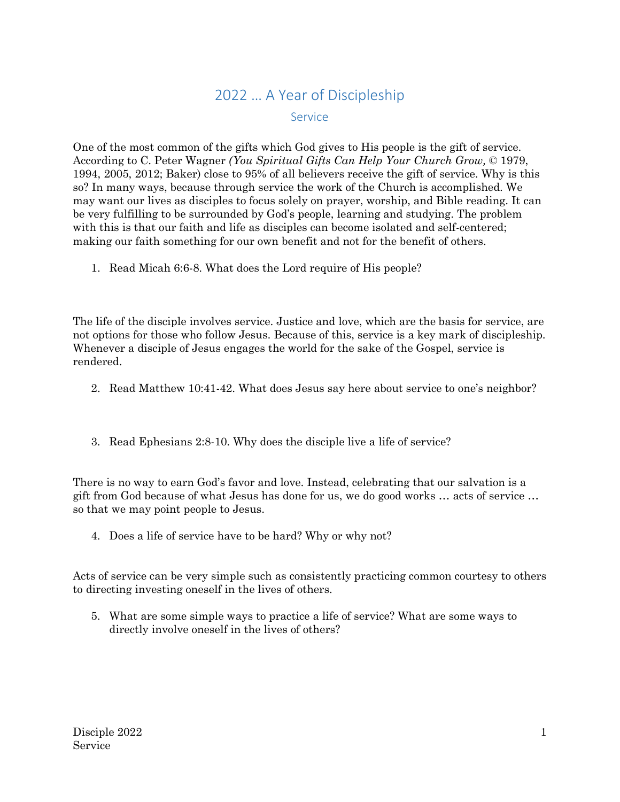## 2022 … A Year of Discipleship Service

One of the most common of the gifts which God gives to His people is the gift of service. According to C. Peter Wagner *(You Spiritual Gifts Can Help Your Church Grow,* © 1979, 1994, 2005, 2012; Baker) close to 95% of all believers receive the gift of service. Why is this so? In many ways, because through service the work of the Church is accomplished. We may want our lives as disciples to focus solely on prayer, worship, and Bible reading. It can be very fulfilling to be surrounded by God's people, learning and studying. The problem with this is that our faith and life as disciples can become isolated and self-centered; making our faith something for our own benefit and not for the benefit of others.

1. Read Micah 6:6-8. What does the Lord require of His people?

The life of the disciple involves service. Justice and love, which are the basis for service, are not options for those who follow Jesus. Because of this, service is a key mark of discipleship. Whenever a disciple of Jesus engages the world for the sake of the Gospel, service is rendered.

- 2. Read Matthew 10:41-42. What does Jesus say here about service to one's neighbor?
- 3. Read Ephesians 2:8-10. Why does the disciple live a life of service?

There is no way to earn God's favor and love. Instead, celebrating that our salvation is a gift from God because of what Jesus has done for us, we do good works … acts of service … so that we may point people to Jesus.

4. Does a life of service have to be hard? Why or why not?

Acts of service can be very simple such as consistently practicing common courtesy to others to directing investing oneself in the lives of others.

5. What are some simple ways to practice a life of service? What are some ways to directly involve oneself in the lives of others?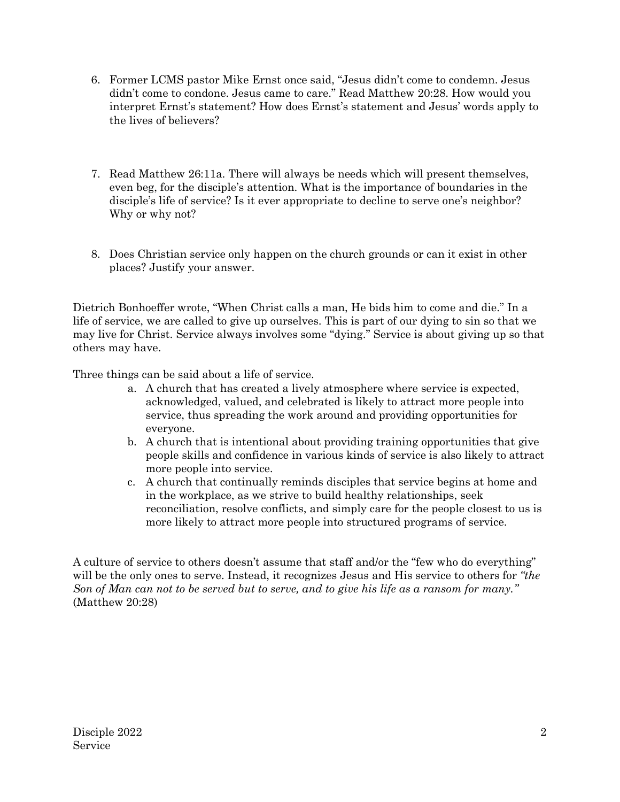- 6. Former LCMS pastor Mike Ernst once said, "Jesus didn't come to condemn. Jesus didn't come to condone. Jesus came to care." Read Matthew 20:28. How would you interpret Ernst's statement? How does Ernst's statement and Jesus' words apply to the lives of believers?
- 7. Read Matthew 26:11a. There will always be needs which will present themselves, even beg, for the disciple's attention. What is the importance of boundaries in the disciple's life of service? Is it ever appropriate to decline to serve one's neighbor? Why or why not?
- 8. Does Christian service only happen on the church grounds or can it exist in other places? Justify your answer.

Dietrich Bonhoeffer wrote, "When Christ calls a man, He bids him to come and die." In a life of service, we are called to give up ourselves. This is part of our dying to sin so that we may live for Christ. Service always involves some "dying." Service is about giving up so that others may have.

Three things can be said about a life of service.

- a. A church that has created a lively atmosphere where service is expected, acknowledged, valued, and celebrated is likely to attract more people into service, thus spreading the work around and providing opportunities for everyone.
- b. A church that is intentional about providing training opportunities that give people skills and confidence in various kinds of service is also likely to attract more people into service.
- c. A church that continually reminds disciples that service begins at home and in the workplace, as we strive to build healthy relationships, seek reconciliation, resolve conflicts, and simply care for the people closest to us is more likely to attract more people into structured programs of service.

A culture of service to others doesn't assume that staff and/or the "few who do everything" will be the only ones to serve. Instead, it recognizes Jesus and His service to others for *"the Son of Man can not to be served but to serve, and to give his life as a ransom for many."*  (Matthew 20:28)